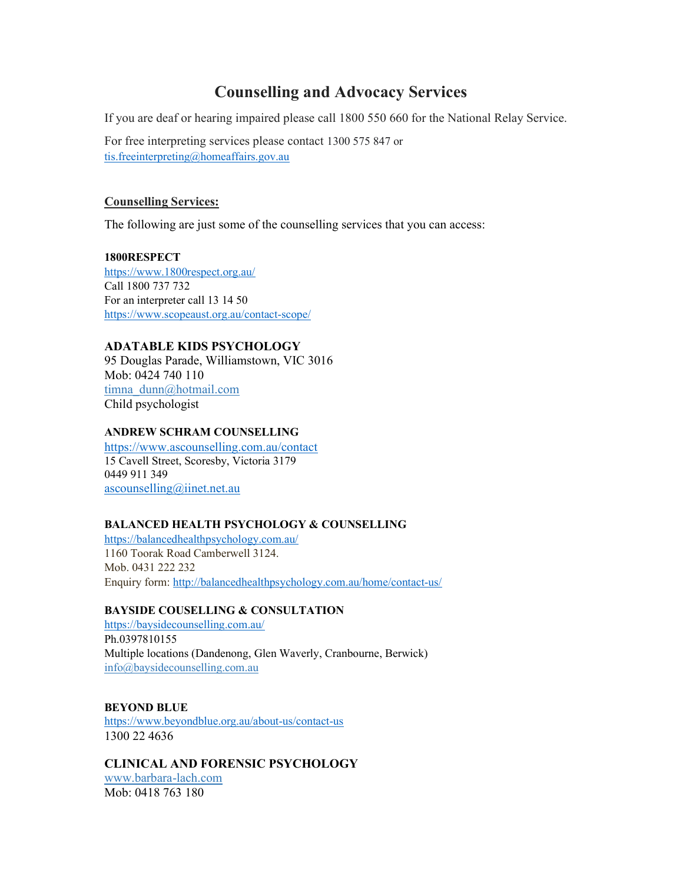# Counselling and Advocacy Services

If you are deaf or hearing impaired please call 1800 550 660 for the National Relay Service.

For free interpreting services please contact 1300 575 847 or tis.freeinterpreting@homeaffairs.gov.au

# Counselling Services:

The following are just some of the counselling services that you can access:

1800RESPECT https://www.1800respect.org.au/ Call 1800 737 732 For an interpreter call 13 14 50 https://www.scopeaust.org.au/contact-scope/

# ADATABLE KIDS PSYCHOLOGY

95 Douglas Parade, Williamstown, VIC 3016 Mob: 0424 740 110 timna\_dunn@hotmail.com Child psychologist

#### ANDREW SCHRAM COUNSELLING

https://www.ascounselling.com.au/contact 15 Cavell Street, Scoresby, Victoria 3179 0449 911 349 ascounselling@iinet.net.au

#### BALANCED HEALTH PSYCHOLOGY & COUNSELLING

https://balancedhealthpsychology.com.au/ 1160 Toorak Road Camberwell 3124. Mob. 0431 222 232 Enquiry form: http://balancedhealthpsychology.com.au/home/contact-us/

# BAYSIDE COUSELLING & CONSULTATION

https://baysidecounselling.com.au/ Ph.0397810155 Multiple locations (Dandenong, Glen Waverly, Cranbourne, Berwick) info@baysidecounselling.com.au

BEYOND BLUE https://www.beyondblue.org.au/about-us/contact-us 1300 22 4636

CLINICAL AND FORENSIC PSYCHOLOGY

www.barbara-lach.com Mob: 0418 763 180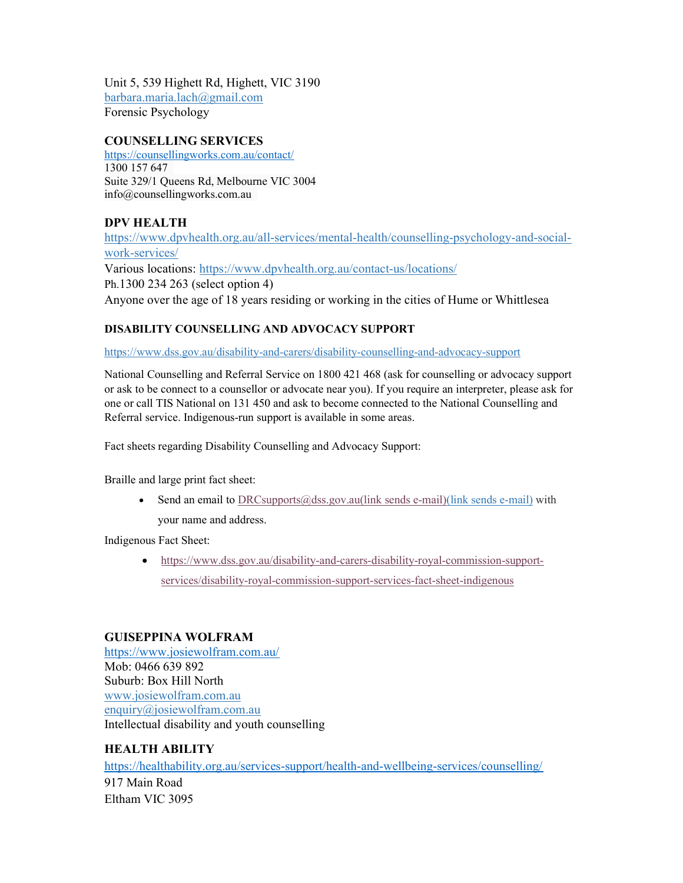Unit 5, 539 Highett Rd, Highett, VIC 3190 barbara.maria.lach@gmail.com Forensic Psychology

# COUNSELLING SERVICES

https://counsellingworks.com.au/contact/ 1300 157 647 Suite 329/1 Queens Rd, Melbourne VIC 3004 info@counsellingworks.com.au

# DPV HEALTH

https://www.dpvhealth.org.au/all-services/mental-health/counselling-psychology-and-socialwork-services/ Various locations: https://www.dpvhealth.org.au/contact-us/locations/ Ph.1300 234 263 (select option 4) Anyone over the age of 18 years residing or working in the cities of Hume or Whittlesea

# DISABILITY COUNSELLING AND ADVOCACY SUPPORT

https://www.dss.gov.au/disability-and-carers/disability-counselling-and-advocacy-support

National Counselling and Referral Service on 1800 421 468 (ask for counselling or advocacy support or ask to be connect to a counsellor or advocate near you). If you require an interpreter, please ask for one or call TIS National on 131 450 and ask to become connected to the National Counselling and Referral service. Indigenous-run support is available in some areas.

Fact sheets regarding Disability Counselling and Advocacy Support:

Braille and large print fact sheet:

Send an email to DRCsupports $@$ dss.gov.au(link sends e-mail)(link sends e-mail) with your name and address.

Indigenous Fact Sheet:

 https://www.dss.gov.au/disability-and-carers-disability-royal-commission-supportservices/disability-royal-commission-support-services-fact-sheet-indigenous

# GUISEPPINA WOLFRAM

https://www.josiewolfram.com.au/ Mob: 0466 639 892 Suburb: Box Hill North www.josiewolfram.com.au enquiry@josiewolfram.com.au Intellectual disability and youth counselling

#### HEALTH ABILITY

https://healthability.org.au/services-support/health-and-wellbeing-services/counselling/ 917 Main Road Eltham VIC 3095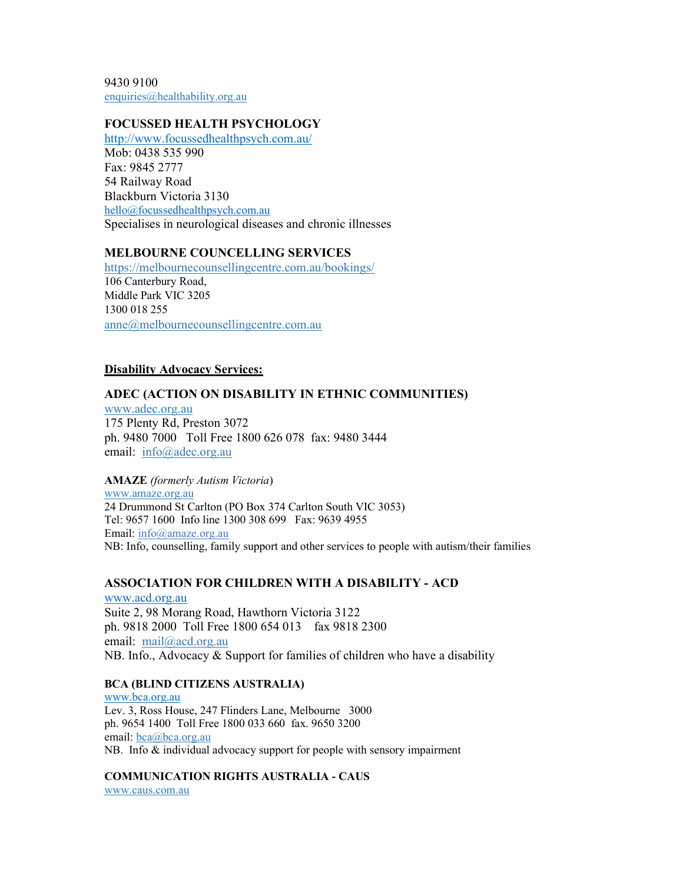9430 9100 enquiries@healthability.org.au

#### FOCUSSED HEALTH PSYCHOLOGY

http://www.focussedhealthpsych.com.au/ Mob: 0438 535 990 Fax: 9845 2777 54 Railway Road Blackburn Victoria 3130 hello@focussedhealthpsych.com.au Specialises in neurological diseases and chronic illnesses

#### MELBOURNE COUNCELLING SERVICES

https://melbournecounsellingcentre.com.au/bookings/ 106 Canterbury Road, Middle Park VIC 3205 1300 018 255 anne@melbournecounsellingcentre.com.au

#### Disability Advocacy Services:

#### ADEC (ACTION ON DISABILITY IN ETHNIC COMMUNITIES)

www.adec.org.au 175 Plenty Rd, Preston 3072 ph. 9480 7000 Toll Free 1800 626 078 fax: 9480 3444 email: info@adec.org.au

AMAZE (formerly Autism Victoria)

www.amaze.org.au 24 Drummond St Carlton (PO Box 374 Carlton South VIC 3053) Tel: 9657 1600 Info line 1300 308 699 Fax: 9639 4955 Email: info@amaze.org.au NB: Info, counselling, family support and other services to people with autism/their families

#### ASSOCIATION FOR CHILDREN WITH A DISABILITY - ACD

www.acd.org.au Suite 2, 98 Morang Road, Hawthorn Victoria 3122 ph. 9818 2000 Toll Free 1800 654 013 fax 9818 2300 email: mail@acd.org.au NB. Info., Advocacy & Support for families of children who have a disability

#### BCA (BLIND CITIZENS AUSTRALIA)

www.bca.org.au Lev. 3, Ross House, 247 Flinders Lane, Melbourne 3000 ph. 9654 1400 Toll Free 1800 033 660 fax. 9650 3200 email: bca@bca.org.au NB. Info & individual advocacy support for people with sensory impairment

COMMUNICATION RIGHTS AUSTRALIA - CAUS www.caus.com.au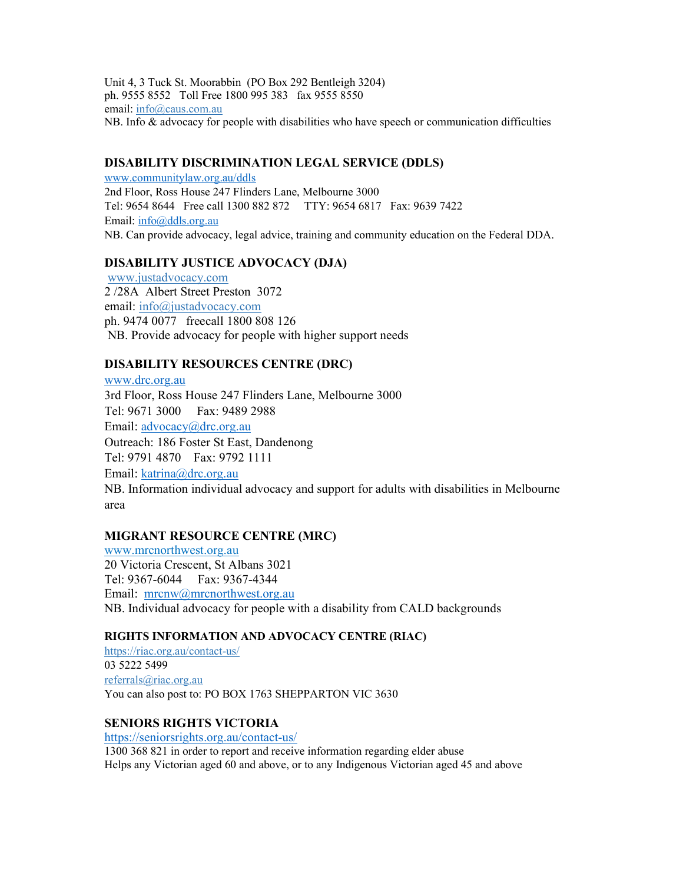Unit 4, 3 Tuck St. Moorabbin (PO Box 292 Bentleigh 3204) ph. 9555 8552 Toll Free 1800 995 383 fax 9555 8550 email: info@caus.com.au NB. Info & advocacy for people with disabilities who have speech or communication difficulties

#### DISABILITY DISCRIMINATION LEGAL SERVICE (DDLS)

www.communitylaw.org.au/ddls 2nd Floor, Ross House 247 Flinders Lane, Melbourne 3000 Tel: 9654 8644 Free call 1300 882 872 TTY: 9654 6817 Fax: 9639 7422 Email: info@ddls.org.au NB. Can provide advocacy, legal advice, training and community education on the Federal DDA.

# DISABILITY JUSTICE ADVOCACY (DJA)

 www.justadvocacy.com 2 /28A Albert Street Preston 3072 email: info@justadvocacy.com ph. 9474 0077 freecall 1800 808 126 NB. Provide advocacy for people with higher support needs

# DISABILITY RESOURCES CENTRE (DRC)

www.drc.org.au 3rd Floor, Ross House 247 Flinders Lane, Melbourne 3000 Tel: 9671 3000 Fax: 9489 2988 Email: advocacy@drc.org.au Outreach: 186 Foster St East, Dandenong Tel: 9791 4870 Fax: 9792 1111 Email: katrina@drc.org.au NB. Information individual advocacy and support for adults with disabilities in Melbourne area

#### MIGRANT RESOURCE CENTRE (MRC)

www.mrcnorthwest.org.au 20 Victoria Crescent, St Albans 3021 Tel: 9367-6044 Fax: 9367-4344 Email: mrcnw@mrcnorthwest.org.au NB. Individual advocacy for people with a disability from CALD backgrounds

#### RIGHTS INFORMATION AND ADVOCACY CENTRE (RIAC)

https://riac.org.au/contact-us/ 03 5222 5499 referrals@riac.org.au You can also post to: PO BOX 1763 SHEPPARTON VIC 3630

#### SENIORS RIGHTS VICTORIA

https://seniorsrights.org.au/contact-us/

1300 368 821 in order to report and receive information regarding elder abuse Helps any Victorian aged 60 and above, or to any Indigenous Victorian aged 45 and above